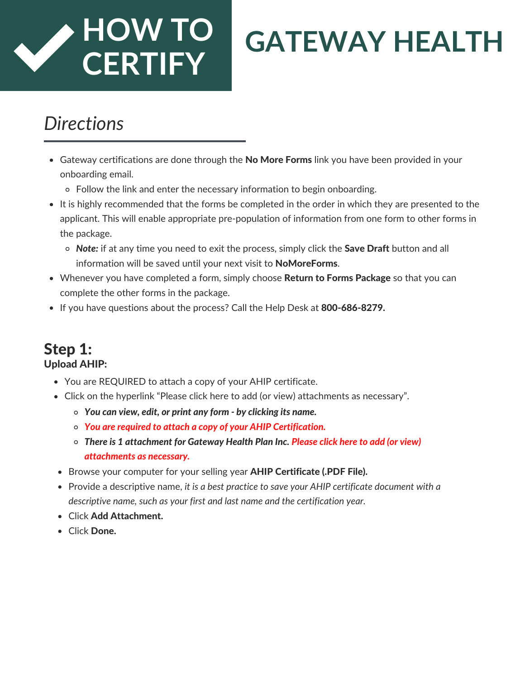# **HOW TO CERTIFY**

# **GATEWAY HEALTH**

### *Directions*

- Gateway certifications are done through the **No More Forms** link you have been provided in your onboarding email.
	- Follow the link and enter the necessary information to begin onboarding.
- It is highly recommended that the forms be completed in the order in which they are presented to the applicant. This will enable appropriate pre-population of information from one form to other forms in the package.
	- *Note:* if at any time you need to exit the process, simply click the Save Draft button and all information will be saved until your next visit to NoMoreForms.
- Whenever you have completed a form, simply choose Return to Forms Package so that you can complete the other forms in the package.
- If you have questions about the process? Call the Help Desk at 800-686-8279.

#### Step 1: Upload AHIP:

- You are REQUIRED to attach a copy of your AHIP certificate.
- Click on the hyperlink "Please click here to add (or view) attachments as necessary".
	- *You can view, edit, or print any form - by clicking its name.*
	- *You are required to attach a copy of your AHIP Certification.*
	- *There is 1 attachment for Gateway Health Plan Inc. Please click here to add (or view) attachments as necessary.*
	- Browse your computer for your selling year AHIP Certificate (.PDF File).
	- Provide a descriptive name, *it is a best practice to save your AHIP certificate document with a descriptive name, such as your first and last name and the certification year.*
	- Click Add Attachment.
	- Click Done.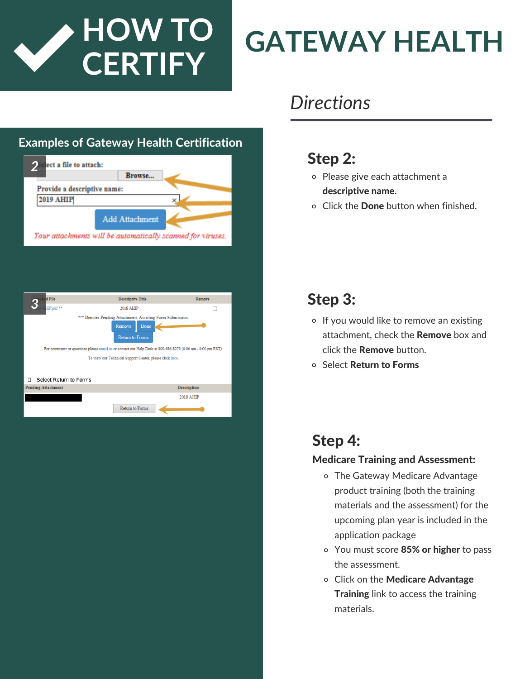

# **GATEWAY HEALTH**

#### **Examples of Gateway Health Certification**



| d File<br>ю,                                                                                                                                                                                                                                                                                 | <b>Descriptive Title</b> | Remove             |  |  |
|----------------------------------------------------------------------------------------------------------------------------------------------------------------------------------------------------------------------------------------------------------------------------------------------|--------------------------|--------------------|--|--|
| HIP.pdf **                                                                                                                                                                                                                                                                                   | 2018 AHIP                |                    |  |  |
| <sup>1881</sup> Denotes Pending Attachment. Awaiting Form Submission.<br>Remove<br>Done<br><b>Return to Forms</b><br>For comments or questions please email us or contact our Help Desk at 800-686-8279 (8:00 am - 8:00 pm EST).<br>To view our Technical Support Center, please click here. |                          |                    |  |  |
| Select Return to Forms<br>п                                                                                                                                                                                                                                                                  |                          |                    |  |  |
| <b>Pending Attachment</b>                                                                                                                                                                                                                                                                    |                          | <b>Description</b> |  |  |
|                                                                                                                                                                                                                                                                                              |                          | 2019 AHIP          |  |  |
|                                                                                                                                                                                                                                                                                              | Return to Forms          |                    |  |  |

### *Directions*

### Step 2:

- Please give each attachment a descriptive name.
- Click the Done button when finished.

### Step 3: *3*

- o If you would like to remove an existing attachment, check the **Remove** box and click the Remove button.
- Select Return to Forms

### Step 4:

#### Medicare Training and Assessment:

- The Gateway Medicare Advantage product training (both the training materials and the assessment) for the upcoming plan year is included in the application package
- You must score 85% or higher to pass the assessment.
- o Click on the Medicare Advantage **Training** link to access the training materials.